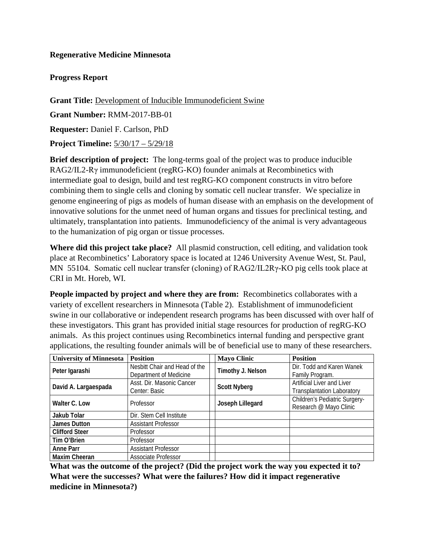## **Regenerative Medicine Minnesota**

## **Progress Report**

**Grant Title:** Development of Inducible Immunodeficient Swine **Grant Number:** RMM-2017-BB-01 **Requester:** Daniel F. Carlson, PhD **Project Timeline:** 5/30/17 – 5/29/18

**Brief description of project:** The long-terms goal of the project was to produce inducible RAG2/IL2-Rγ immunodeficient (regRG-KO) founder animals at Recombinetics with intermediate goal to design, build and test regRG-KO component constructs in vitro before combining them to single cells and cloning by somatic cell nuclear transfer. We specialize in genome engineering of pigs as models of human disease with an emphasis on the development of innovative solutions for the unmet need of human organs and tissues for preclinical testing, and ultimately, transplantation into patients. Immunodeficiency of the animal is very advantageous to the humanization of pig organ or tissue processes.

**Where did this project take place?** All plasmid construction, cell editing, and validation took place at Recombinetics' Laboratory space is located at 1246 University Avenue West, St. Paul, MN 55104. Somatic cell nuclear transfer (cloning) of RAG2/IL2Rγ-KO pig cells took place at CRI in Mt. Horeb, WI.

**People impacted by project and where they are from:** Recombinetics collaborates with a variety of excellent researchers in Minnesota (Table 2). Establishment of immunodeficient swine in our collaborative or independent research programs has been discussed with over half of these investigators. This grant has provided initial stage resources for production of regRG-KO animals. As this project continues using Recombinetics internal funding and perspective grant applications, the resulting founder animals will be of beneficial use to many of these researchers.

| <b>University of Minnesota</b> | <b>Position</b>               | <b>Mayo Clinic</b>  | <b>Position</b>                   |
|--------------------------------|-------------------------------|---------------------|-----------------------------------|
| Peter Igarashi                 | Nesbitt Chair and Head of the | Timothy J. Nelson   | Dir. Todd and Karen Wanek         |
|                                | Department of Medicine        |                     | Family Program.                   |
| David A. Largaespada           | Asst. Dir. Masonic Cancer     | <b>Scott Nyberg</b> | Artificial Liver and Liver        |
|                                | Center: Basic                 |                     | <b>Transplantation Laboratory</b> |
| Walter C. Low                  | Professor                     | Joseph Lillegard    | Children's Pediatric Surgery-     |
|                                |                               |                     | Research @ Mayo Clinic            |
| Jakub Tolar                    | Dir. Stem Cell Institute      |                     |                                   |
| James Dutton                   | <b>Assistant Professor</b>    |                     |                                   |
| <b>Clifford Steer</b>          | Professor                     |                     |                                   |
| Tim O'Brien                    | Professor                     |                     |                                   |
| <b>Anne Parr</b>               | <b>Assistant Professor</b>    |                     |                                   |
| Maxim Cheeran                  | Associate Professor           |                     |                                   |

**What was the outcome of the project? (Did the project work the way you expected it to? What were the successes? What were the failures? How did it impact regenerative medicine in Minnesota?)**